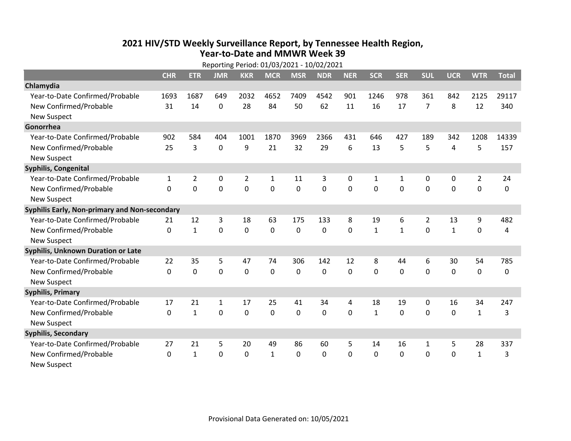## **2021 HIV /STD Weekly Surveillance Report, by Tennessee Health Region, Year‐to‐Date and MMWR Week 39** Reporting Period: 01/03/2021 ‐ 10/02/2021

|                                               | Reporting Period: 01/03/2021 - 10/02/2021 |                |                |                |              |             |            |            |              |              |             |              |                |              |
|-----------------------------------------------|-------------------------------------------|----------------|----------------|----------------|--------------|-------------|------------|------------|--------------|--------------|-------------|--------------|----------------|--------------|
|                                               | <b>CHR</b>                                | <b>ETR</b>     | <b>JMR</b>     | <b>KKR</b>     | <b>MCR</b>   | <b>MSR</b>  | <b>NDR</b> | <b>NER</b> | <b>SCR</b>   | <b>SER</b>   | <b>SUL</b>  | <b>UCR</b>   | <b>WTR</b>     | <b>Total</b> |
| Chlamydia                                     |                                           |                |                |                |              |             |            |            |              |              |             |              |                |              |
| Year-to-Date Confirmed/Probable               | 1693                                      | 1687           | 649            | 2032           | 4652         | 7409        | 4542       | 901        | 1246         | 978          | 361         | 842          | 2125           | 29117        |
| New Confirmed/Probable                        | 31                                        | 14             | $\mathbf 0$    | 28             | 84           | 50          | 62         | 11         | 16           | 17           | 7           | 8            | 12             | 340          |
| <b>New Suspect</b>                            |                                           |                |                |                |              |             |            |            |              |              |             |              |                |              |
| Gonorrhea                                     |                                           |                |                |                |              |             |            |            |              |              |             |              |                |              |
| Year-to-Date Confirmed/Probable               | 902                                       | 584            | 404            | 1001           | 1870         | 3969        | 2366       | 431        | 646          | 427          | 189         | 342          | 1208           | 14339        |
| New Confirmed/Probable                        | 25                                        | 3              | $\mathbf 0$    | 9              | 21           | 32          | 29         | 6          | 13           | 5            | 5           | 4            | 5              | 157          |
| <b>New Suspect</b>                            |                                           |                |                |                |              |             |            |            |              |              |             |              |                |              |
| <b>Syphilis, Congenital</b>                   |                                           |                |                |                |              |             |            |            |              |              |             |              |                |              |
| Year-to-Date Confirmed/Probable               | 1                                         | $\overline{2}$ | $\mathbf 0$    | $\overline{2}$ | 1            | 11          | 3          | 0          | $\mathbf{1}$ | $\mathbf{1}$ | 0           | 0            | $\overline{2}$ | 24           |
| New Confirmed/Probable                        | $\Omega$                                  | 0              | 0              | 0              | $\mathbf 0$  | 0           | 0          | $\Omega$   | $\Omega$     | $\mathbf 0$  | 0           | 0            | $\mathbf 0$    | 0            |
| <b>New Suspect</b>                            |                                           |                |                |                |              |             |            |            |              |              |             |              |                |              |
| Syphilis Early, Non-primary and Non-secondary |                                           |                |                |                |              |             |            |            |              |              |             |              |                |              |
| Year-to-Date Confirmed/Probable               | 21                                        | 12             | 3              | 18             | 63           | 175         | 133        | 8          | 19           | 6            | 2           | 13           | 9              | 482          |
| New Confirmed/Probable                        | 0                                         | $\mathbf{1}$   | 0              | $\overline{0}$ | $\mathbf 0$  | $\mathbf 0$ | 0          | $\Omega$   | $\mathbf{1}$ | $\mathbf{1}$ | $\mathbf 0$ | $\mathbf{1}$ | $\mathbf 0$    | 4            |
| <b>New Suspect</b>                            |                                           |                |                |                |              |             |            |            |              |              |             |              |                |              |
| <b>Syphilis, Unknown Duration or Late</b>     |                                           |                |                |                |              |             |            |            |              |              |             |              |                |              |
| Year-to-Date Confirmed/Probable               | 22                                        | 35             | 5              | 47             | 74           | 306         | 142        | 12         | 8            | 44           | 6           | 30           | 54             | 785          |
| New Confirmed/Probable                        | $\mathbf 0$                               | $\mathbf 0$    | $\overline{0}$ | 0              | $\mathbf 0$  | 0           | $\Omega$   | $\Omega$   | $\Omega$     | $\Omega$     | $\Omega$    | $\mathbf 0$  | $\mathbf 0$    | 0            |
| <b>New Suspect</b>                            |                                           |                |                |                |              |             |            |            |              |              |             |              |                |              |
| <b>Syphilis, Primary</b>                      |                                           |                |                |                |              |             |            |            |              |              |             |              |                |              |
| Year-to-Date Confirmed/Probable               | 17                                        | 21             | $\mathbf{1}$   | 17             | 25           | 41          | 34         | 4          | 18           | 19           | 0           | 16           | 34             | 247          |
| New Confirmed/Probable                        | $\mathbf 0$                               | $\mathbf{1}$   | 0              | 0              | $\mathbf 0$  | 0           | 0          | $\Omega$   | $\mathbf{1}$ | $\Omega$     | 0           | $\mathbf 0$  | $\mathbf{1}$   | 3            |
| <b>New Suspect</b>                            |                                           |                |                |                |              |             |            |            |              |              |             |              |                |              |
| <b>Syphilis, Secondary</b>                    |                                           |                |                |                |              |             |            |            |              |              |             |              |                |              |
| Year-to-Date Confirmed/Probable               | 27                                        | 21             | 5              | 20             | 49           | 86          | 60         | 5          | 14           | 16           | 1           | 5            | 28             | 337          |
| New Confirmed/Probable                        | $\mathbf{0}$                              | $\mathbf{1}$   | 0              | 0              | $\mathbf{1}$ | $\Omega$    | 0          | $\Omega$   | $\mathbf{0}$ | 0            | 0           | 0            | $\mathbf{1}$   | 3            |
| <b>New Suspect</b>                            |                                           |                |                |                |              |             |            |            |              |              |             |              |                |              |